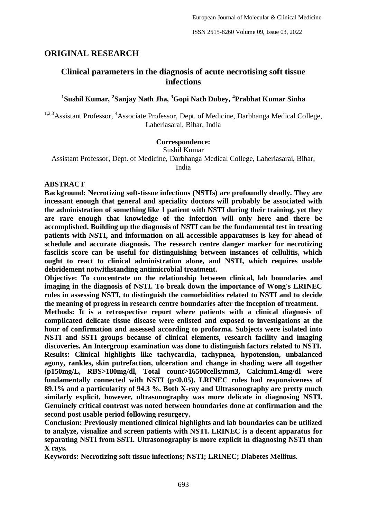## **ORIGINAL RESEARCH**

# **Clinical parameters in the diagnosis of acute necrotising soft tissue infections**

## **1 Sushil Kumar, <sup>2</sup> Sanjay Nath Jha, <sup>3</sup>Gopi Nath Dubey, <sup>4</sup> Prabhat Kumar Sinha**

<sup>1,2,3</sup>Assistant Professor, <sup>4</sup>Associate Professor, Dept. of Medicine, Darbhanga Medical College, Laheriasarai, Bihar, India

#### **Correspondence:**

Sushil Kumar Assistant Professor, Dept. of Medicine, Darbhanga Medical College, Laheriasarai, Bihar, India

#### **ABSTRACT**

**Background: Necrotizing soft-tissue infections (NSTIs) are profoundly deadly. They are incessant enough that general and speciality doctors will probably be associated with the administration of something like 1 patient with NSTI during their training, yet they are rare enough that knowledge of the infection will only here and there be accomplished. Building up the diagnosis of NSTI can be the fundamental test in treating patients with NSTI, and information on all accessible apparatuses is key for ahead of schedule and accurate diagnosis. The research centre danger marker for necrotizing fasciitis score can be useful for distinguishing between instances of cellulitis, which ought to react to clinical administration alone, and NSTI, which requires usable debridement notwithstanding antimicrobial treatment.**

**Objective: To concentrate on the relationship between clinical, lab boundaries and imaging in the diagnosis of NSTI. To break down the importance of Wong's LRINEC rules in assessing NSTI, to distinguish the comorbidities related to NSTI and to decide the meaning of progress in research centre boundaries after the inception of treatment.**

**Methods: It is a retrospective report where patients with a clinical diagnosis of complicated delicate tissue disease were enlisted and exposed to investigations at the hour of confirmation and assessed according to proforma. Subjects were isolated into NSTI and SSTI groups because of clinical elements, research facility and imaging discoveries. An Intergroup examination was done to distinguish factors related to NSTI. Results: Clinical highlights like tachycardia, tachypnea, hypotension, unbalanced agony, rankles, skin putrefaction, ulceration and change in shading were all together (p150mg/L, RBS>180mg/dl, Total count>16500cells/mm3, Calcium1.4mg/dl were**  fundamentally connected with NSTI (p<0.05). LRINEC rules had responsiveness of **89.1% and a particularity of 94.3 %. Both X-ray and Ultrasonography are pretty much similarly explicit, however, ultrasonography was more delicate in diagnosing NSTI. Genuinely critical contrast was noted between boundaries done at confirmation and the second post usable period following resurgery.**

**Conclusion: Previously mentioned clinical highlights and lab boundaries can be utilized to analyze, visualize and screen patients with NSTI. LRINEC is a decent apparatus for separating NSTI from SSTI. Ultrasonography is more explicit in diagnosing NSTI than X rays.**

**Keywords: Necrotizing soft tissue infections; NSTI; LRINEC; Diabetes Mellitus.**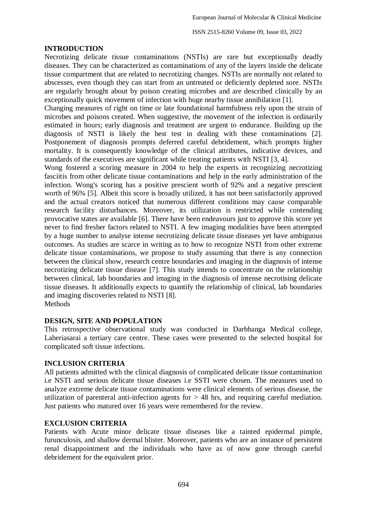#### **INTRODUCTION**

Necrotizing delicate tissue contaminations (NSTIs) are rare but exceptionally deadly diseases. They can be characterized as contaminations of any of the layers inside the delicate tissue compartment that are related to necrotizing changes. NSTIs are normally not related to abscesses, even though they can start from an untreated or deficiently depleted sore. NSTIs are regularly brought about by poison creating microbes and are described clinically by an exceptionally quick movement of infection with huge nearby tissue annihilation [1].

Changing measures of right on time or late foundational harmfulness rely upon the strain of microbes and poisons created. When suggestive, the movement of the infection is ordinarily estimated in hours; early diagnosis and treatment are urgent to endurance. Building up the diagnosis of NSTI is likely the best test in dealing with these contaminations [2]. Postponement of diagnosis prompts deferred careful debridement, which prompts higher mortality. It is consequently knowledge of the clinical attributes, indicative devices, and standards of the executives are significant while treating patients with NSTI [3, 4].

Wong fostered a scoring measure in 2004 to help the experts in recognizing necrotizing fasciitis from other delicate tissue contaminations and help in the early administration of the infection. Wong's scoring has a positive prescient worth of 92% and a negative prescient worth of 96% [5]. Albeit this score is broadly utilized, it has not been satisfactorily approved and the actual creators noticed that numerous different conditions may cause comparable research facility disturbances. Moreover, its utilization is restricted while contending provocative states are available [6]. There have been endeavours just to approve this score yet never to find fresher factors related to NSTI. A few imaging modalities have been attempted by a huge number to analyse intense necrotizing delicate tissue diseases yet have ambiguous outcomes. As studies are scarce in writing as to how to recognize NSTI from other extreme delicate tissue contaminations, we propose to study assuming that there is any connection between the clinical show, research centre boundaries and imaging in the diagnosis of intense necrotizing delicate tissue disease [7]. This study intends to concentrate on the relationship between clinical, lab boundaries and imaging in the diagnosis of intense necrotising delicate tissue diseases. It additionally expects to quantify the relationship of clinical, lab boundaries and imaging discoveries related to NSTI [8]. Methods

#### **DESIGN, SITE AND POPULATION**

This retrospective observational study was conducted in Darbhanga Medical college, Laheriasarai a tertiary care centre. These cases were presented to the selected hospital for complicated soft tissue infections.

## **INCLUSION CRITERIA**

All patients admitted with the clinical diagnosis of complicated delicate tissue contamination i.e NSTI and serious delicate tissue diseases i.e SSTI were chosen. The measures used to analyze extreme delicate tissue contaminations were clinical elements of serious disease, the utilization of parenteral anti-infection agents for > 48 hrs, and requiring careful mediation. Just patients who matured over 16 years were remembered for the review.

## **EXCLUSION CRITERIA**

Patients with Acute minor delicate tissue diseases like a tainted epidermal pimple, furunculosis, and shallow dermal blister. Moreover, patients who are an instance of persistent renal disappointment and the individuals who have as of now gone through careful debridement for the equivalent prior.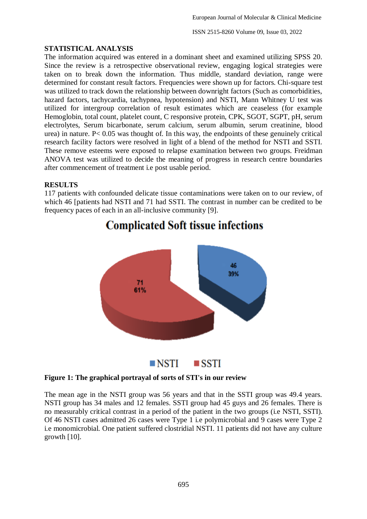ISSN 2515-8260 Volume 09, Issue 03, 2022

### **STATISTICAL ANALYSIS**

The information acquired was entered in a dominant sheet and examined utilizing SPSS 20. Since the review is a retrospective observational review, engaging logical strategies were taken on to break down the information. Thus middle, standard deviation, range were determined for constant result factors. Frequencies were shown up for factors. Chi-square test was utilized to track down the relationship between downright factors (Such as comorbidities, hazard factors, tachycardia, tachypnea, hypotension) and NSTI, Mann Whitney U test was utilized for intergroup correlation of result estimates which are ceaseless (for example Hemoglobin, total count, platelet count, C responsive protein, CPK, SGOT, SGPT, pH, serum electrolytes, Serum bicarbonate, serum calcium, serum albumin, serum creatinine, blood urea) in nature. P< 0.05 was thought of. In this way, the endpoints of these genuinely critical research facility factors were resolved in light of a blend of the method for NSTI and SSTI. These remove esteems were exposed to relapse examination between two groups. Freidman ANOVA test was utilized to decide the meaning of progress in research centre boundaries after commencement of treatment i.e post usable period.

### **RESULTS**

117 patients with confounded delicate tissue contaminations were taken on to our review, of which 46 [patients had NSTI and 71 had SSTI. The contrast in number can be credited to be frequency paces of each in an all-inclusive community [9].



# **Complicated Soft tissue infections**

#### **Figure 1: The graphical portrayal of sorts of STI's in our review**

The mean age in the NSTI group was 56 years and that in the SSTI group was 49.4 years. NSTI group has 34 males and 12 females. SSTI group had 45 guys and 26 females. There is no measurably critical contrast in a period of the patient in the two groups (i.e NSTI, SSTI). Of 46 NSTI cases admitted 26 cases were Type 1 i.e polymicrobial and 9 cases were Type 2 i.e monomicrobial. One patient suffered clostridial NSTI. 11 patients did not have any culture growth [10].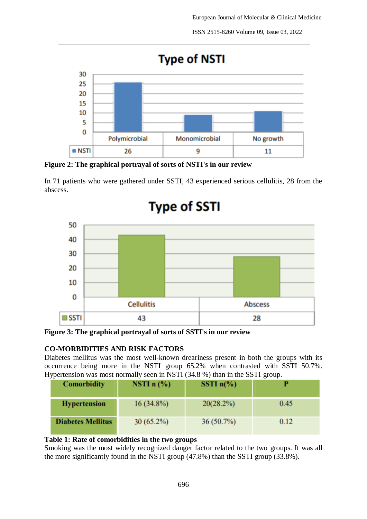ISSN 2515-8260 Volume 09, Issue 03, 2022



**Figure 2: The graphical portrayal of sorts of NSTI's in our review**

In 71 patients who were gathered under SSTI, 43 experienced serious cellulitis, 28 from the abscess.



**Figure 3: The graphical portrayal of sorts of SSTI's in our review**

## **CO-MORBIDITIES AND RISK FACTORS**

Diabetes mellitus was the most well-known dreariness present in both the groups with its occurrence being more in the NSTI group 65.2% when contrasted with SSTI 50.7%. Hypertension was most normally seen in NSTI (34.8 %) than in the SSTI group.

| <b>Comorbidity</b>       | NSTI $n$ (%) | SSTI $n\frac{6}{6}$ |      |
|--------------------------|--------------|---------------------|------|
| <b>Hypertension</b>      | $16(34.8\%)$ | 20(28.2%)           | 0.45 |
| <b>Diabetes Mellitus</b> | $30(65.2\%)$ | $36(50.7\%)$        | 0.12 |

## **Table 1: Rate of comorbidities in the two groups**

Smoking was the most widely recognized danger factor related to the two groups. It was all the more significantly found in the NSTI group (47.8%) than the SSTI group (33.8%).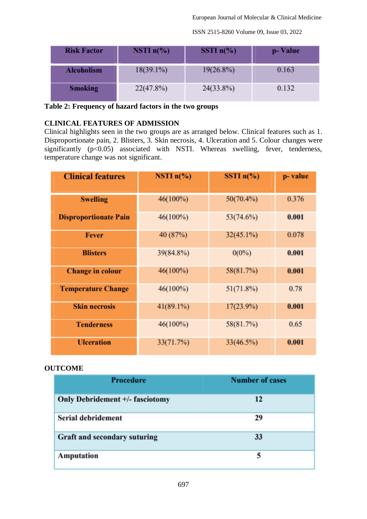ISSN 2515-8260 Volume 09, Issue 03, 2022

| <b>Risk Factor</b> | NSTI $n\%$   | SSTI $n\%$   | p-Value |
|--------------------|--------------|--------------|---------|
| Alcoholism         | $18(39.1\%)$ | $19(26.8\%)$ | 0.163   |
| <b>Smoking</b>     | 22(47.8%)    | $24(33.8\%)$ | 0.132   |

**Table 2: Frequency of hazard factors in the two groups**

## **CLINICAL FEATURES OF ADMISSION**

Clinical highlights seen in the two groups are as arranged below. Clinical features such as 1. Disproportionate pain, 2. Blisters, 3. Skin necrosis, 4. Ulceration and 5. Colour changes were significantly  $(p<0.05)$  associated with NSTI. Whereas swelling, fever, tenderness, temperature change was not significant.

| <b>Clinical features</b>     | NSTI $n\llap/$ <sub>0</sub> ) | SSTI $n\frac{6}{6}$ | p-value |
|------------------------------|-------------------------------|---------------------|---------|
| <b>Swelling</b>              | $46(100\%)$                   | $50(70.4\%)$        | 0.376   |
| <b>Disproportionate Pain</b> | $46(100\%)$                   | 53(74.6%)           | 0.001   |
| <b>Fever</b>                 | 40 (87%)                      | $32(45.1\%)$        | 0.078   |
| <b>Blisters</b>              | 39(84.8%)                     | $0(0\%)$            | 0.001   |
| <b>Change in colour</b>      | $46(100\%)$                   | 58(81.7%)           | 0.001   |
| <b>Temperature Change</b>    | $46(100\%)$                   | 51(71.8%)           | 0.78    |
| <b>Skin necrosis</b>         | $41(89.1\%)$                  | $17(23.9\%)$        | 0.001   |
| <b>Tenderness</b>            | $46(100\%)$                   | 58(81.7%)           | 0.65    |
| <b>Ulceration</b>            | 33(71.7%)                     | 33(46.5%)           | 0.001   |

#### **OUTCOME**

| <b>Procedure</b>                       | <b>Number of cases</b> |
|----------------------------------------|------------------------|
| <b>Only Debridement +/- fasciotomy</b> | 12                     |
| <b>Serial debridement</b>              | 29                     |
| <b>Graft and secondary suturing</b>    | 33                     |
| <b>Amputation</b>                      | 5                      |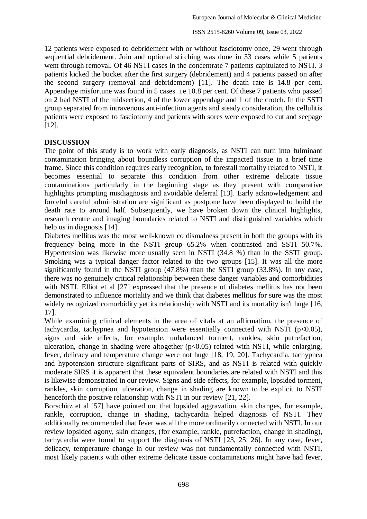12 patients were exposed to debridement with or without fasciotomy once, 29 went through sequential debridement. Join and optional stitching was done in 33 cases while 5 patients went through removal. Of 46 NSTI cases in the concentrate 7 patients capitulated to NSTI. 3 patients kicked the bucket after the first surgery (debridement) and 4 patients passed on after the second surgery (removal and debridement) [11]. The death rate is 14.8 per cent. Appendage misfortune was found in 5 cases. i.e 10.8 per cent. Of these 7 patients who passed on 2 had NSTI of the midsection, 4 of the lower appendage and 1 of the crotch. In the SSTI group separated from intravenous anti-infection agents and steady consideration, the cellulitis patients were exposed to fasciotomy and patients with sores were exposed to cut and seepage [12].

### **DISCUSSION**

The point of this study is to work with early diagnosis, as NSTI can turn into fulminant contamination bringing about boundless corruption of the impacted tissue in a brief time frame. Since this condition requires early recognition, to forestall mortality related to NSTI, it becomes essential to separate this condition from other extreme delicate tissue contaminations particularly in the beginning stage as they present with comparative highlights prompting misdiagnosis and avoidable deferral [13]. Early acknowledgement and forceful careful administration are significant as postpone have been displayed to build the death rate to around half. Subsequently, we have broken down the clinical highlights, research centre and imaging boundaries related to NSTI and distinguished variables which help us in diagnosis [14].

Diabetes mellitus was the most well-known co dismalness present in both the groups with its frequency being more in the NSTI group 65.2% when contrasted and SSTI 50.7%. Hypertension was likewise more usually seen in NSTI (34.8 %) than in the SSTI group. Smoking was a typical danger factor related to the two groups [15]. It was all the more significantly found in the NSTI group (47.8%) than the SSTI group (33.8%). In any case, there was no genuinely critical relationship between these danger variables and comorbidities with NSTI. Elliot et al [27] expressed that the presence of diabetes mellitus has not been demonstrated to influence mortality and we think that diabetes mellitus for sure was the most widely recognized comorbidity yet its relationship with NSTI and its mortality isn't huge [16,] 17].

While examining clinical elements in the area of vitals at an affirmation, the presence of tachycardia, tachypnea and hypotension were essentially connected with NSTI ( $p<0.05$ ), signs and side effects, for example, unbalanced torment, rankles, skin putrefaction, ulceration, change in shading were altogether  $(p<0.05)$  related with NSTI, while enlarging, fever, delicacy and temperature change were not huge [18, 19, 20]. Tachycardia, tachypnea and hypotension structure significant parts of SIRS, and as NSTI is related with quickly moderate SIRS it is apparent that these equivalent boundaries are related with NSTI and this is likewise demonstrated in our review. Signs and side effects, for example, lopsided torment, rankles, skin corruption, ulceration, change in shading are known to be explicit to NSTI henceforth the positive relationship with NSTI in our review [21, 22].

Borschitz et al [57] have pointed out that lopsided aggravation, skin changes, for example, rankle, corruption, change in shading, tachycardia helped diagnosis of NSTI. They additionally recommended that fever was all the more ordinarily connected with NSTI. In our review lopsided agony, skin changes, (for example, rankle, putrefaction, change in shading), tachycardia were found to support the diagnosis of NSTI [23, 25, 26]. In any case, fever, delicacy, temperature change in our review was not fundamentally connected with NSTI, most likely patients with other extreme delicate tissue contaminations might have had fever,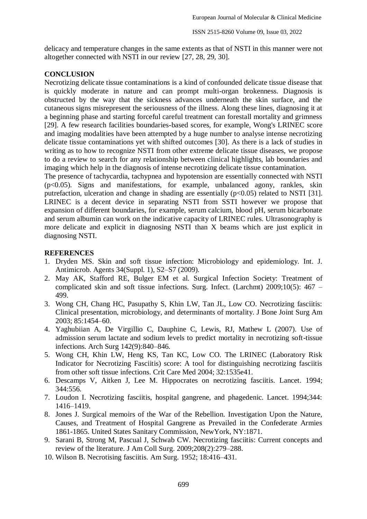delicacy and temperature changes in the same extents as that of NSTI in this manner were not altogether connected with NSTI in our review [27, 28, 29, 30].

## **CONCLUSION**

Necrotizing delicate tissue contaminations is a kind of confounded delicate tissue disease that is quickly moderate in nature and can prompt multi-organ brokenness. Diagnosis is obstructed by the way that the sickness advances underneath the skin surface, and the cutaneous signs misrepresent the seriousness of the illness. Along these lines, diagnosing it at a beginning phase and starting forceful careful treatment can forestall mortality and grimness [29]. A few research facilities boundaries-based scores, for example, Wong's LRINEC score and imaging modalities have been attempted by a huge number to analyse intense necrotizing delicate tissue contaminations yet with shifted outcomes [30]. As there is a lack of studies in writing as to how to recognize NSTI from other extreme delicate tissue diseases, we propose to do a review to search for any relationship between clinical highlights, lab boundaries and imaging which help in the diagnosis of intense necrotizing delicate tissue contamination.

The presence of tachycardia, tachypnea and hypotension are essentially connected with NSTI  $(p<0.05)$ . Signs and manifestations, for example, unbalanced agony, rankles, skin putrefaction, ulceration and change in shading are essentially  $(p<0.05)$  related to NSTI [31]. LRINEC is a decent device in separating NSTI from SSTI however we propose that expansion of different boundaries, for example, serum calcium, blood pH, serum bicarbonate and serum albumin can work on the indicative capacity of LRINEC rules. Ultrasonography is more delicate and explicit in diagnosing NSTI than X beams which are just explicit in diagnosing NSTI.

### **REFERENCES**

- 1. Dryden MS. Skin and soft tissue infection: Microbiology and epidemiology. Int. J. Antimicrob. Agents 34(Suppl. 1), S2–S7 (2009).
- 2. May AK, Stafford RE, Bulger EM et al. Surgical Infection Society: Treatment of complicated skin and soft tissue infections. Surg. Infect. (Larchmt)  $2009:10(5)$ : 467 – 499.
- 3. Wong CH, Chang HC, Pasupathy S, Khin LW, Tan JL, Low CO. Necrotizing fasciitis: Clinical presentation, microbiology, and determinants of mortality. J Bone Joint Surg Am 2003; 85:1454–60.
- 4. Yaghubiian A, De Virgillio C, Dauphine C, Lewis, RJ, Mathew L (2007). Use of admission serum lactate and sodium levels to predict mortality in necrotizing soft-tissue infections. Arch Surg 142(9):840–846.
- 5. Wong CH, Khin LW, Heng KS, Tan KC, Low CO. The LRINEC (Laboratory Risk Indicator for Necrotizing Fasciitis) score: A tool for distinguishing necrotizing fasciitis from other soft tissue infections. Crit Care Med 2004; 32:1535e41.
- 6. Descamps V, Aitken J, Lee M. Hippocrates on necrotizing fasciitis. Lancet. 1994; 344:556.
- 7. Loudon I. Necrotizing fasciitis, hospital gangrene, and phagedenic. Lancet. 1994;344: 1416–1419.
- 8. Jones J. Surgical memoirs of the War of the Rebellion. Investigation Upon the Nature, Causes, and Treatment of Hospital Gangrene as Prevailed in the Confederate Armies 1861-1865. United States Sanitary Commission, NewYork, NY:1871.
- 9. Sarani B, Strong M, Pascual J, Schwab CW. Necrotizing fasciitis: Current concepts and review of the literature. J Am Coll Surg. 2009;208(2):279–288.
- 10. Wilson B. Necrotising fasciitis. Am Surg. 1952; 18:416–431.